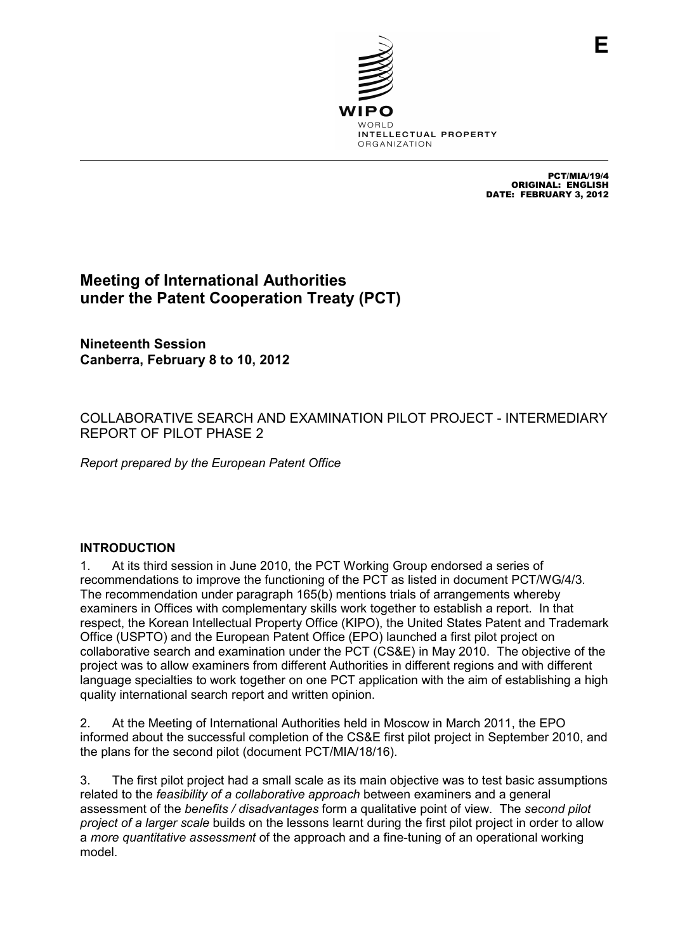

PCT/MIA/19/4 ORIGINAL: ENGLISH DATE: FEBRUARY 3, 2012

**E**

# **Meeting of International Authorities under the Patent Cooperation Treaty (PCT)**

**Nineteenth Session Canberra, February 8 to 10, 2012** 

COLLABORATIVE SEARCH AND EXAMINATION PILOT PROJECT - INTERMEDIARY REPORT OF PILOT PHASE 2

*Report prepared by the European Patent Office* 

#### **INTRODUCTION**

1. At its third session in June 2010, the PCT Working Group endorsed a series of recommendations to improve the functioning of the PCT as listed in document PCT/WG/4/3. The recommendation under paragraph 165(b) mentions trials of arrangements whereby examiners in Offices with complementary skills work together to establish a report. In that respect, the Korean Intellectual Property Office (KIPO), the United States Patent and Trademark Office (USPTO) and the European Patent Office (EPO) launched a first pilot project on collaborative search and examination under the PCT (CS&E) in May 2010. The objective of the project was to allow examiners from different Authorities in different regions and with different language specialties to work together on one PCT application with the aim of establishing a high quality international search report and written opinion.

2. At the Meeting of International Authorities held in Moscow in March 2011, the EPO informed about the successful completion of the CS&E first pilot project in September 2010, and the plans for the second pilot (document PCT/MIA/18/16).

3. The first pilot project had a small scale as its main objective was to test basic assumptions related to the *feasibility of a collaborative approach* between examiners and a general assessment of the *benefits / disadvantages* form a qualitative point of view. The *second pilot project of a larger scale* builds on the lessons learnt during the first pilot project in order to allow a *more quantitative assessment* of the approach and a fine-tuning of an operational working model.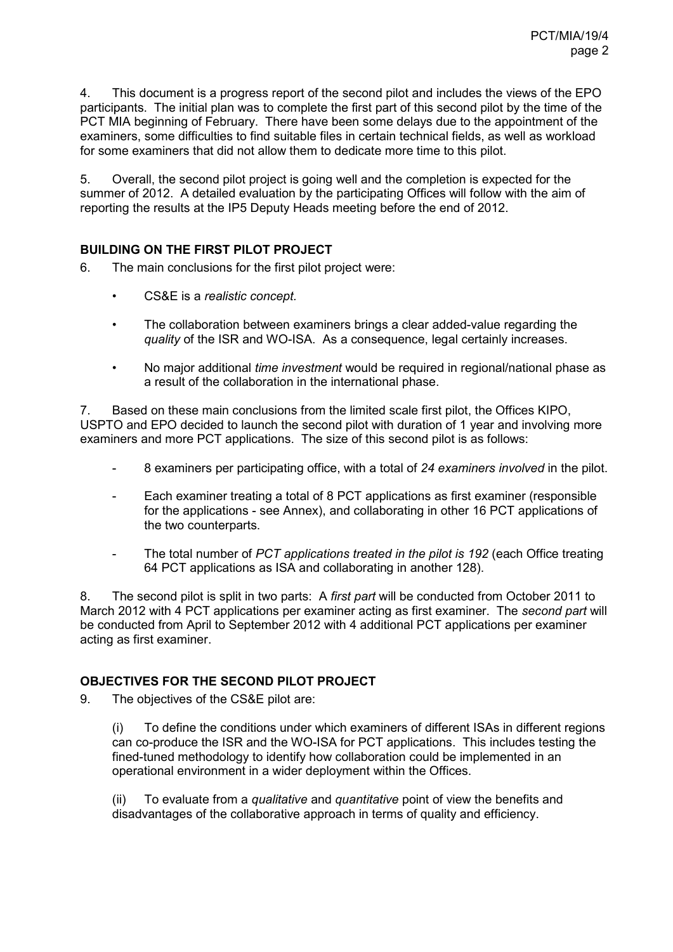4. This document is a progress report of the second pilot and includes the views of the EPO participants. The initial plan was to complete the first part of this second pilot by the time of the PCT MIA beginning of February. There have been some delays due to the appointment of the examiners, some difficulties to find suitable files in certain technical fields, as well as workload for some examiners that did not allow them to dedicate more time to this pilot.

5. Overall, the second pilot project is going well and the completion is expected for the summer of 2012. A detailed evaluation by the participating Offices will follow with the aim of reporting the results at the IP5 Deputy Heads meeting before the end of 2012.

# **BUILDING ON THE FIRST PILOT PROJECT**

6. The main conclusions for the first pilot project were:

- CS&E is a *realistic concept.*
- The collaboration between examiners brings a clear added-value regarding the *quality* of the ISR and WO-ISA. As a consequence, legal certainly increases.
- No major additional *time investment* would be required in regional/national phase as a result of the collaboration in the international phase.

7. Based on these main conclusions from the limited scale first pilot, the Offices KIPO, USPTO and EPO decided to launch the second pilot with duration of 1 year and involving more examiners and more PCT applications. The size of this second pilot is as follows:

- 8 examiners per participating office, with a total of *24 examiners involved* in the pilot.
- Each examiner treating a total of 8 PCT applications as first examiner (responsible for the applications - see Annex), and collaborating in other 16 PCT applications of the two counterparts.
- The total number of *PCT applications treated in the pilot is 192* (each Office treating 64 PCT applications as ISA and collaborating in another 128).

8. The second pilot is split in two parts: A *first part* will be conducted from October 2011 to March 2012 with 4 PCT applications per examiner acting as first examiner. The *second part* will be conducted from April to September 2012 with 4 additional PCT applications per examiner acting as first examiner.

## **OBJECTIVES FOR THE SECOND PILOT PROJECT**

9. The objectives of the CS&E pilot are:

(i) To define the conditions under which examiners of different ISAs in different regions can co-produce the ISR and the WO-ISA for PCT applications. This includes testing the fined-tuned methodology to identify how collaboration could be implemented in an operational environment in a wider deployment within the Offices.

(ii) To evaluate from a *qualitative* and *quantitative* point of view the benefits and disadvantages of the collaborative approach in terms of quality and efficiency.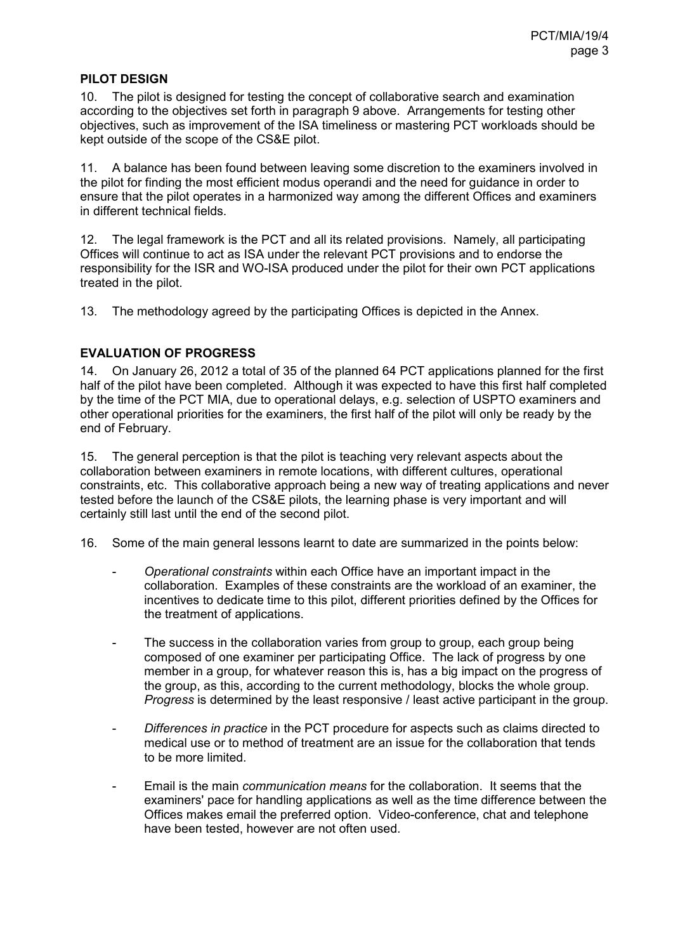#### **PILOT DESIGN**

10. The pilot is designed for testing the concept of collaborative search and examination according to the objectives set forth in paragraph 9 above. Arrangements for testing other objectives, such as improvement of the ISA timeliness or mastering PCT workloads should be kept outside of the scope of the CS&E pilot.

11. A balance has been found between leaving some discretion to the examiners involved in the pilot for finding the most efficient modus operandi and the need for guidance in order to ensure that the pilot operates in a harmonized way among the different Offices and examiners in different technical fields.

12. The legal framework is the PCT and all its related provisions. Namely, all participating Offices will continue to act as ISA under the relevant PCT provisions and to endorse the responsibility for the ISR and WO-ISA produced under the pilot for their own PCT applications treated in the pilot.

13. The methodology agreed by the participating Offices is depicted in the Annex.

## **EVALUATION OF PROGRESS**

14. On January 26, 2012 a total of 35 of the planned 64 PCT applications planned for the first half of the pilot have been completed. Although it was expected to have this first half completed by the time of the PCT MIA, due to operational delays, e.g. selection of USPTO examiners and other operational priorities for the examiners, the first half of the pilot will only be ready by the end of February.

15. The general perception is that the pilot is teaching very relevant aspects about the collaboration between examiners in remote locations, with different cultures, operational constraints, etc. This collaborative approach being a new way of treating applications and never tested before the launch of the CS&E pilots, the learning phase is very important and will certainly still last until the end of the second pilot.

16. Some of the main general lessons learnt to date are summarized in the points below:

- *Operational constraints* within each Office have an important impact in the collaboration. Examples of these constraints are the workload of an examiner, the incentives to dedicate time to this pilot, different priorities defined by the Offices for the treatment of applications.
- The success in the collaboration varies from group to group, each group being composed of one examiner per participating Office. The lack of progress by one member in a group, for whatever reason this is, has a big impact on the progress of the group, as this, according to the current methodology, blocks the whole group. *Progress* is determined by the least responsive / least active participant in the group.
- *Differences in practice* in the PCT procedure for aspects such as claims directed to medical use or to method of treatment are an issue for the collaboration that tends to be more limited.
- Email is the main *communication means* for the collaboration. It seems that the examiners' pace for handling applications as well as the time difference between the Offices makes email the preferred option. Video-conference, chat and telephone have been tested, however are not often used.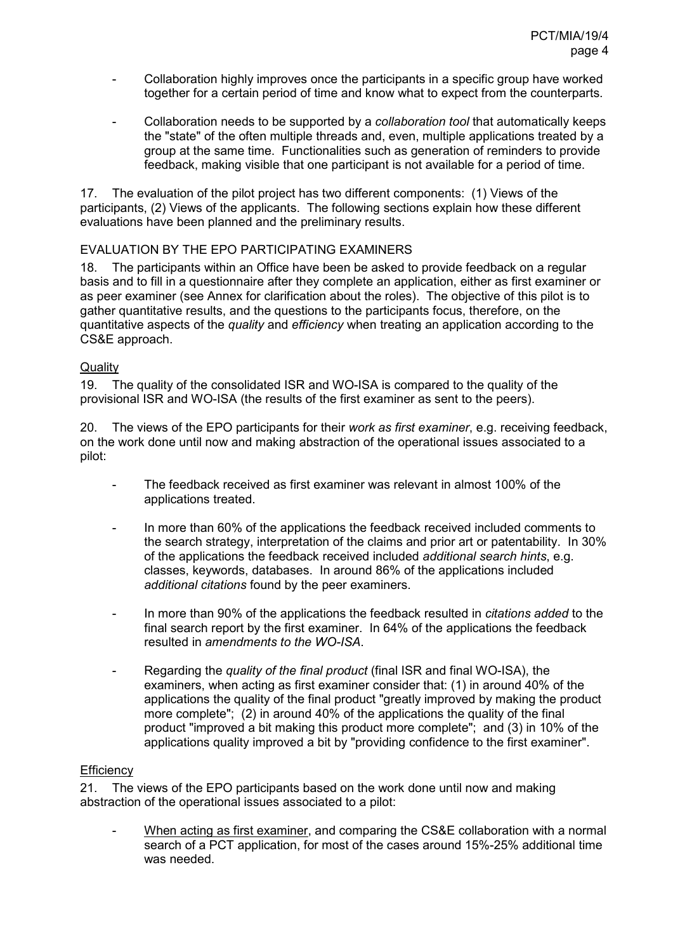- Collaboration highly improves once the participants in a specific group have worked together for a certain period of time and know what to expect from the counterparts.
- Collaboration needs to be supported by a *collaboration tool* that automatically keeps the "state" of the often multiple threads and, even, multiple applications treated by a group at the same time. Functionalities such as generation of reminders to provide feedback, making visible that one participant is not available for a period of time.

17. The evaluation of the pilot project has two different components: (1) Views of the participants, (2) Views of the applicants. The following sections explain how these different evaluations have been planned and the preliminary results.

#### EVALUATION BY THE EPO PARTICIPATING EXAMINERS

18. The participants within an Office have been be asked to provide feedback on a regular basis and to fill in a questionnaire after they complete an application, either as first examiner or as peer examiner (see Annex for clarification about the roles). The objective of this pilot is to gather quantitative results, and the questions to the participants focus, therefore, on the quantitative aspects of the *quality* and *efficiency* when treating an application according to the CS&E approach.

## **Quality**

19. The quality of the consolidated ISR and WO-ISA is compared to the quality of the provisional ISR and WO-ISA (the results of the first examiner as sent to the peers).

20. The views of the EPO participants for their *work as first examiner*, e.g. receiving feedback, on the work done until now and making abstraction of the operational issues associated to a pilot:

- The feedback received as first examiner was relevant in almost 100% of the applications treated.
- In more than 60% of the applications the feedback received included comments to the search strategy, interpretation of the claims and prior art or patentability. In 30% of the applications the feedback received included *additional search hints*, e.g. classes, keywords, databases. In around 86% of the applications included *additional citations* found by the peer examiners.
- In more than 90% of the applications the feedback resulted in *citations added* to the final search report by the first examiner. In 64% of the applications the feedback resulted in *amendments to the WO-ISA*.
- Regarding the *quality of the final product* (final ISR and final WO-ISA), the examiners, when acting as first examiner consider that: (1) in around 40% of the applications the quality of the final product "greatly improved by making the product more complete"; (2) in around 40% of the applications the quality of the final product "improved a bit making this product more complete"; and (3) in 10% of the applications quality improved a bit by "providing confidence to the first examiner".

#### **Efficiency**

21. The views of the EPO participants based on the work done until now and making abstraction of the operational issues associated to a pilot:

- When acting as first examiner, and comparing the CS&E collaboration with a normal search of a PCT application, for most of the cases around 15%-25% additional time was needed.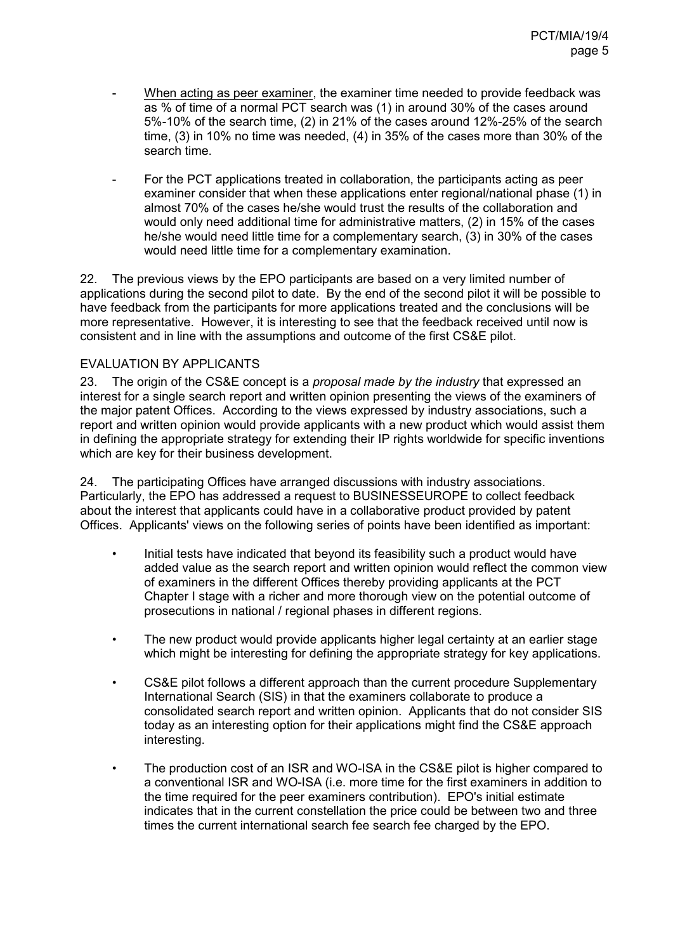- When acting as peer examiner, the examiner time needed to provide feedback was as % of time of a normal PCT search was (1) in around 30% of the cases around 5%-10% of the search time, (2) in 21% of the cases around 12%-25% of the search time, (3) in 10% no time was needed, (4) in 35% of the cases more than 30% of the search time.
- For the PCT applications treated in collaboration, the participants acting as peer examiner consider that when these applications enter regional/national phase (1) in almost 70% of the cases he/she would trust the results of the collaboration and would only need additional time for administrative matters, (2) in 15% of the cases he/she would need little time for a complementary search, (3) in 30% of the cases would need little time for a complementary examination.

22. The previous views by the EPO participants are based on a very limited number of applications during the second pilot to date. By the end of the second pilot it will be possible to have feedback from the participants for more applications treated and the conclusions will be more representative. However, it is interesting to see that the feedback received until now is consistent and in line with the assumptions and outcome of the first CS&E pilot.

## EVALUATION BY APPLICANTS

23. The origin of the CS&E concept is a *proposal made by the industry* that expressed an interest for a single search report and written opinion presenting the views of the examiners of the major patent Offices. According to the views expressed by industry associations, such a report and written opinion would provide applicants with a new product which would assist them in defining the appropriate strategy for extending their IP rights worldwide for specific inventions which are key for their business development.

24. The participating Offices have arranged discussions with industry associations. Particularly, the EPO has addressed a request to BUSINESSEUROPE to collect feedback about the interest that applicants could have in a collaborative product provided by patent Offices. Applicants' views on the following series of points have been identified as important:

- Initial tests have indicated that beyond its feasibility such a product would have added value as the search report and written opinion would reflect the common view of examiners in the different Offices thereby providing applicants at the PCT Chapter I stage with a richer and more thorough view on the potential outcome of prosecutions in national / regional phases in different regions.
- The new product would provide applicants higher legal certainty at an earlier stage which might be interesting for defining the appropriate strategy for key applications.
- CS&E pilot follows a different approach than the current procedure Supplementary International Search (SIS) in that the examiners collaborate to produce a consolidated search report and written opinion. Applicants that do not consider SIS today as an interesting option for their applications might find the CS&E approach interesting.
- The production cost of an ISR and WO-ISA in the CS&E pilot is higher compared to a conventional ISR and WO-ISA (i.e. more time for the first examiners in addition to the time required for the peer examiners contribution). EPO's initial estimate indicates that in the current constellation the price could be between two and three times the current international search fee search fee charged by the EPO.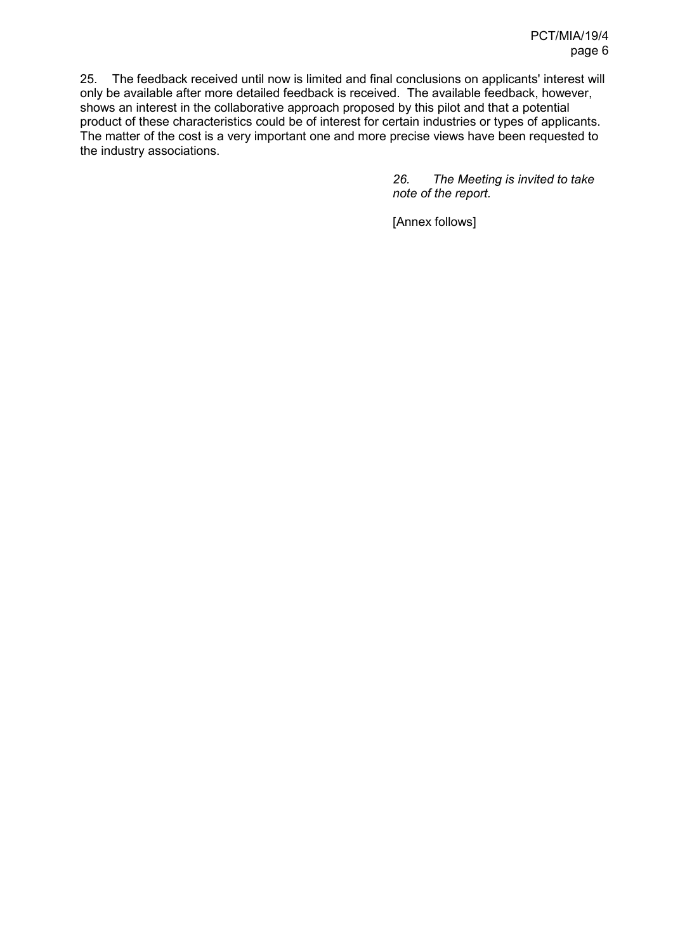25. The feedback received until now is limited and final conclusions on applicants' interest will only be available after more detailed feedback is received. The available feedback, however, shows an interest in the collaborative approach proposed by this pilot and that a potential product of these characteristics could be of interest for certain industries or types of applicants. The matter of the cost is a very important one and more precise views have been requested to the industry associations.

> *26. The Meeting is invited to take note of the report.*

[Annex follows]